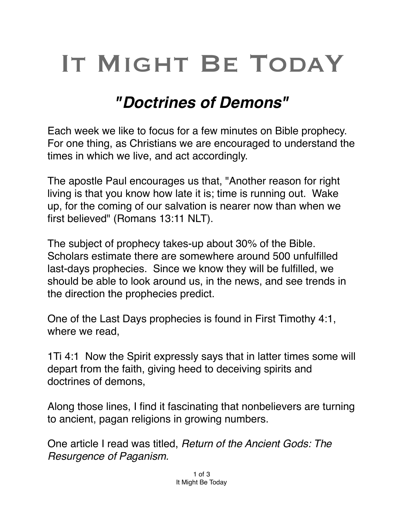## IT MIGHT BE TODAY

## *"Doctrines of Demons"*

Each week we like to focus for a few minutes on Bible prophecy. For one thing, as Christians we are encouraged to understand the times in which we live, and act accordingly.

The apostle Paul encourages us that, "Another reason for right living is that you know how late it is; time is running out. Wake up, for the coming of our salvation is nearer now than when we first believed" (Romans 13:11 NLT).

The subject of prophecy takes-up about 30% of the Bible. Scholars estimate there are somewhere around 500 unfulfilled last-days prophecies. Since we know they will be fulfilled, we should be able to look around us, in the news, and see trends in the direction the prophecies predict.

One of the Last Days prophecies is found in First Timothy 4:1, where we read,

1Ti 4:1 Now the Spirit expressly says that in latter times some will depart from the faith, giving heed to deceiving spirits and doctrines of demons,

Along those lines, I find it fascinating that nonbelievers are turning to ancient, pagan religions in growing numbers.

One article I read was titled, *Return of the Ancient Gods: The Resurgence of Paganism.*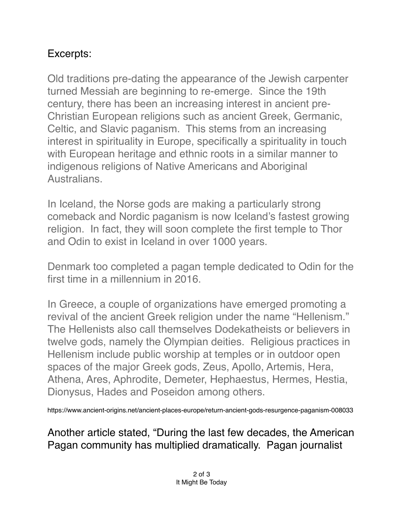## Excerpts:

Old traditions pre-dating the appearance of the Jewish carpenter turned Messiah are beginning to re-emerge. Since the 19th century, there has been an increasing interest in ancient pre-Christian European religions such as ancient Greek, Germanic, Celtic, and Slavic paganism. This stems from an increasing interest in spirituality in Europe, specifically a spirituality in touch with European heritage and ethnic roots in a similar manner to indigenous religions of Native Americans and Aboriginal Australians.

In Iceland, the Norse gods are making a particularly strong comeback and Nordic paganism is now Iceland's fastest growing religion. In fact, they will soon complete the [first temple to Thor](https://nordic.businessinsider.com/icelands-fastest-growing-religion-will-soon-complete-the-first-temple-to-thor-and-odin-in-a-1000-years--/)  [and Odin to exist in Iceland](https://nordic.businessinsider.com/icelands-fastest-growing-religion-will-soon-complete-the-first-temple-to-thor-and-odin-in-a-1000-years--/) in over 1000 years.

Denmark too completed a pagan temple dedicated to Odin for the first time in a millennium in 2016.

In Greece, a couple of organizations have emerged promoting a revival of the ancient Greek religion under the name "Hellenism." The Hellenists also call themselves Dodekatheists or believers in twelve gods, namely the Olympian deities. Religious practices in Hellenism include public worship at temples or in outdoor open spaces of the major Greek gods, Zeus, Apollo, Artemis, Hera, Athena, Ares, Aphrodite, Demeter, Hephaestus, Hermes, Hestia, Dionysus, Hades and Poseidon among others.

https://www.ancient-origins.net/ancient-places-europe/return-ancient-gods-resurgence-paganism-008033

Another article stated, "During the last few decades, the American Pagan community has multiplied dramatically. Pagan journalist